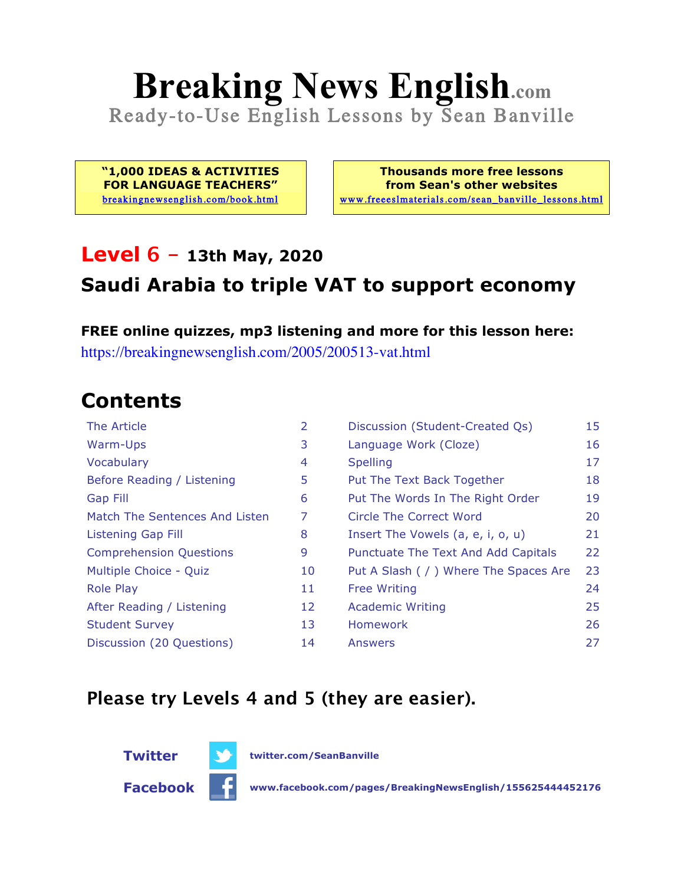# **Breaking News English.com**

Ready-to-Use English Lessons by Sean Banville

**"1,000 IDEAS & ACTIVITIES FOR LANGUAGE TEACHERS"** breakingnewsenglish.com/book.html

**Thousands more free lessons from Sean's other websites** www.freeeslmaterials.com/sean\_banville\_lessons.html

#### **Level 6 - 13th May, 2020**

#### **Saudi Arabia to triple VAT to support economy**

**FREE online quizzes, mp3 listening and more for this lesson here:** https://breakingnewsenglish.com/2005/200513-vat.html

### **Contents**

| The Article                    | 2  | Discussion (Student-Created Qs)        | 15 |
|--------------------------------|----|----------------------------------------|----|
| Warm-Ups                       | 3  | Language Work (Cloze)                  | 16 |
| Vocabulary                     | 4  | <b>Spelling</b>                        | 17 |
| Before Reading / Listening     | 5  | Put The Text Back Together             | 18 |
| Gap Fill                       | 6  | Put The Words In The Right Order       | 19 |
| Match The Sentences And Listen | 7  | Circle The Correct Word                | 20 |
| Listening Gap Fill             | 8  | Insert The Vowels (a, e, i, o, u)      | 21 |
| <b>Comprehension Questions</b> | 9  | Punctuate The Text And Add Capitals    | 22 |
| Multiple Choice - Quiz         | 10 | Put A Slash ( / ) Where The Spaces Are | 23 |
| <b>Role Play</b>               | 11 | <b>Free Writing</b>                    | 24 |
| After Reading / Listening      | 12 | <b>Academic Writing</b>                | 25 |
| <b>Student Survey</b>          | 13 | Homework                               | 26 |
| Discussion (20 Questions)      | 14 | Answers                                | 27 |

#### **Please try Levels 4 and 5 (they are easier).**





**Facebook www.facebook.com/pages/BreakingNewsEnglish/155625444452176**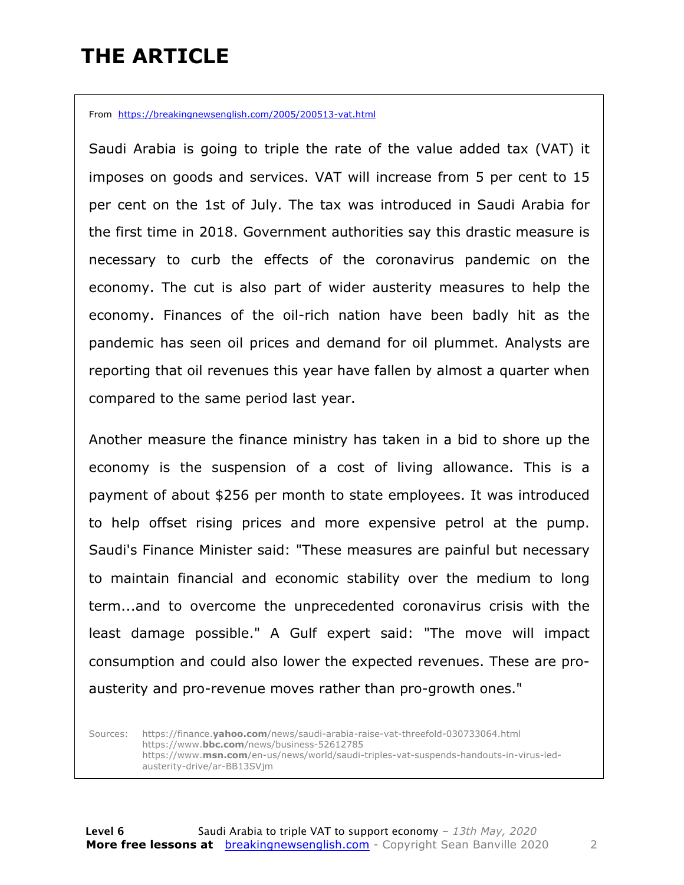### **THE ARTICLE**

From https://breakingnewsenglish.com/2005/200513-vat.html

Saudi Arabia is going to triple the rate of the value added tax (VAT) it imposes on goods and services. VAT will increase from 5 per cent to 15 per cent on the 1st of July. The tax was introduced in Saudi Arabia for the first time in 2018. Government authorities say this drastic measure is necessary to curb the effects of the coronavirus pandemic on the economy. The cut is also part of wider austerity measures to help the economy. Finances of the oil-rich nation have been badly hit as the pandemic has seen oil prices and demand for oil plummet. Analysts are reporting that oil revenues this year have fallen by almost a quarter when compared to the same period last year.

Another measure the finance ministry has taken in a bid to shore up the economy is the suspension of a cost of living allowance. This is a payment of about \$256 per month to state employees. It was introduced to help offset rising prices and more expensive petrol at the pump. Saudi's Finance Minister said: "These measures are painful but necessary to maintain financial and economic stability over the medium to long term...and to overcome the unprecedented coronavirus crisis with the least damage possible." A Gulf expert said: "The move will impact consumption and could also lower the expected revenues. These are proausterity and pro-revenue moves rather than pro-growth ones."

Sources: https://finance.**yahoo.com**/news/saudi-arabia-raise-vat-threefold-030733064.html https://www.**bbc.com**/news/business-52612785 https://www.**msn.com**/en-us/news/world/saudi-triples-vat-suspends-handouts-in-virus-ledausterity-drive/ar-BB13SVjm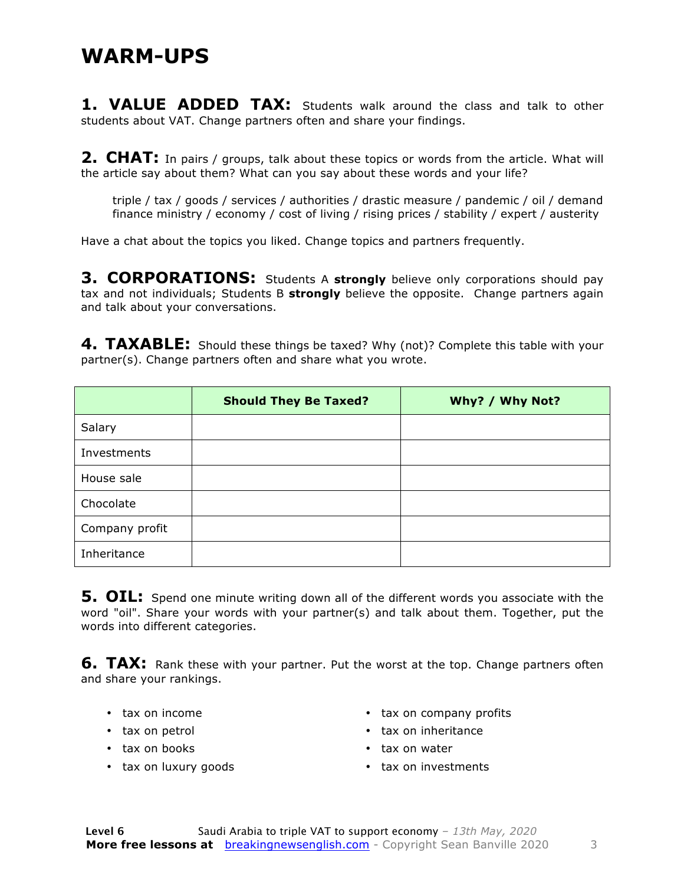**1. VALUE ADDED TAX:** Students walk around the class and talk to other students about VAT. Change partners often and share your findings.

**2. CHAT:** In pairs / groups, talk about these topics or words from the article. What will the article say about them? What can you say about these words and your life?

triple / tax / goods / services / authorities / drastic measure / pandemic / oil / demand finance ministry / economy / cost of living / rising prices / stability / expert / austerity

Have a chat about the topics you liked. Change topics and partners frequently.

**3. CORPORATIONS:** Students A **strongly** believe only corporations should pay tax and not individuals; Students B **strongly** believe the opposite. Change partners again and talk about your conversations.

**4. TAXABLE:** Should these things be taxed? Why (not)? Complete this table with your partner(s). Change partners often and share what you wrote.

|                | <b>Should They Be Taxed?</b> | Why? / Why Not? |
|----------------|------------------------------|-----------------|
| Salary         |                              |                 |
| Investments    |                              |                 |
| House sale     |                              |                 |
| Chocolate      |                              |                 |
| Company profit |                              |                 |
| Inheritance    |                              |                 |

**5. OIL:** Spend one minute writing down all of the different words you associate with the word "oil". Share your words with your partner(s) and talk about them. Together, put the words into different categories.

**6. TAX:** Rank these with your partner. Put the worst at the top. Change partners often and share your rankings.

- tax on income
- tax on petrol
- tax on books
- tax on luxury goods
- tax on company profits
- tax on inheritance
- tax on water
- tax on investments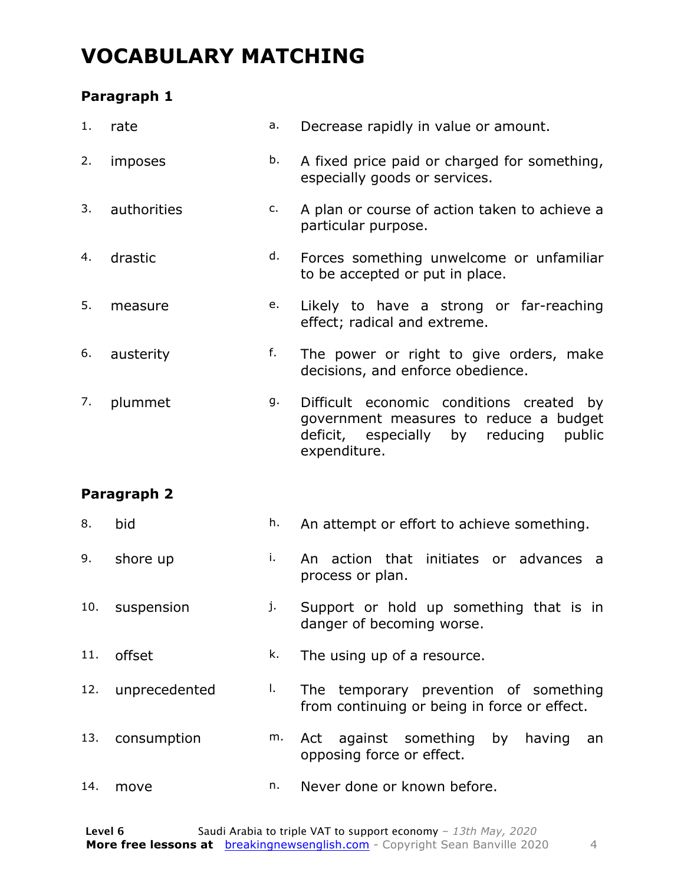### **VOCABULARY MATCHING**

#### **Paragraph 1**

| 1.  | rate          | a. | Decrease rapidly in value or amount.                                                                                                            |
|-----|---------------|----|-------------------------------------------------------------------------------------------------------------------------------------------------|
| 2.  | imposes       | b. | A fixed price paid or charged for something,<br>especially goods or services.                                                                   |
| 3.  | authorities   | c. | A plan or course of action taken to achieve a<br>particular purpose.                                                                            |
| 4.  | drastic       | d. | Forces something unwelcome or unfamiliar<br>to be accepted or put in place.                                                                     |
| 5.  | measure       | e. | Likely to have a strong or far-reaching<br>effect; radical and extreme.                                                                         |
| 6.  | austerity     | f. | The power or right to give orders, make<br>decisions, and enforce obedience.                                                                    |
| 7.  | plummet       | g. | Difficult economic conditions created<br>by<br>government measures to reduce a budget<br>deficit, especially by reducing public<br>expenditure. |
|     | Paragraph 2   |    |                                                                                                                                                 |
| 8.  | bid           | h. | An attempt or effort to achieve something.                                                                                                      |
| 9.  | shore up      | i. | An action that initiates or advances<br>- a<br>process or plan.                                                                                 |
| 10. | suspension    | j. | Support or hold up something that is in<br>danger of becoming worse.                                                                            |
| 11. | offset        | k. | The using up of a resource.                                                                                                                     |
| 12. | unprecedented | Ι. | The temporary prevention of something<br>from continuing or being in force or effect.                                                           |
| 13. | consumption   | m. | against something by<br>having<br>Act<br>an<br>opposing force or effect.                                                                        |
|     |               |    |                                                                                                                                                 |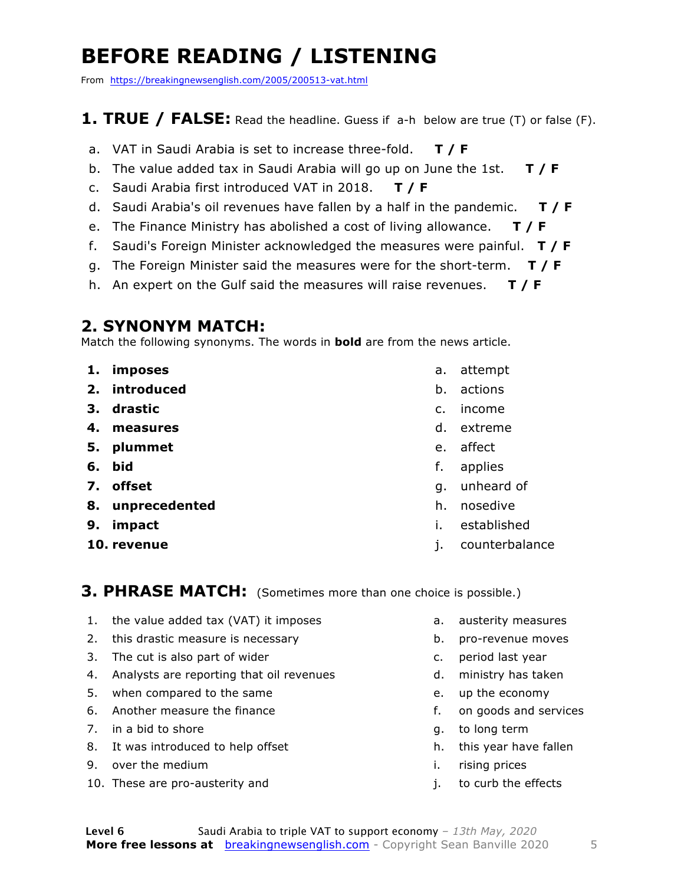### **BEFORE READING / LISTENING**

From https://breakingnewsenglish.com/2005/200513-vat.html

#### **1. TRUE / FALSE:** Read the headline. Guess if a-h below are true (T) or false (F).

- a. VAT in Saudi Arabia is set to increase three-fold. **T / F**
- b. The value added tax in Saudi Arabia will go up on June the 1st. **T / F**
- c. Saudi Arabia first introduced VAT in 2018. **T / F**
- d. Saudi Arabia's oil revenues have fallen by a half in the pandemic. **T / F**
- e. The Finance Ministry has abolished a cost of living allowance. **T / F**
- f. Saudi's Foreign Minister acknowledged the measures were painful. **T / F**
- g. The Foreign Minister said the measures were for the short-term. **T / F**
- h. An expert on the Gulf said the measures will raise revenues. **T / F**

#### **2. SYNONYM MATCH:**

Match the following synonyms. The words in **bold** are from the news article.

- **1. imposes**
- **2. introduced**
- **3. drastic**
- **4. measures**
- **5. plummet**
- **6. bid**
- **7. offset**
- **8. unprecedented**
- **9. impact**
- **10. revenue**
- a. attempt
- b. actions
- c. income
- d. extreme
- e. affect
- f. applies
- g. unheard of
- h. nosedive
- i. established
- j. counterbalance

#### **3. PHRASE MATCH:** (Sometimes more than one choice is possible.)

- 1. the value added tax (VAT) it imposes
- 2. this drastic measure is necessary
- 3. The cut is also part of wider
- 4. Analysts are reporting that oil revenues
- 5. when compared to the same
- 6. Another measure the finance
- 7. in a bid to shore
- 8. It was introduced to help offset
- 9. over the medium
- 10. These are pro-austerity and
- a. austerity measures
- b. pro-revenue moves
- c. period last year
- d. ministry has taken
- e. up the economy
- f. on goods and services
- g. to long term
- h. this year have fallen
- i. rising prices
- j. to curb the effects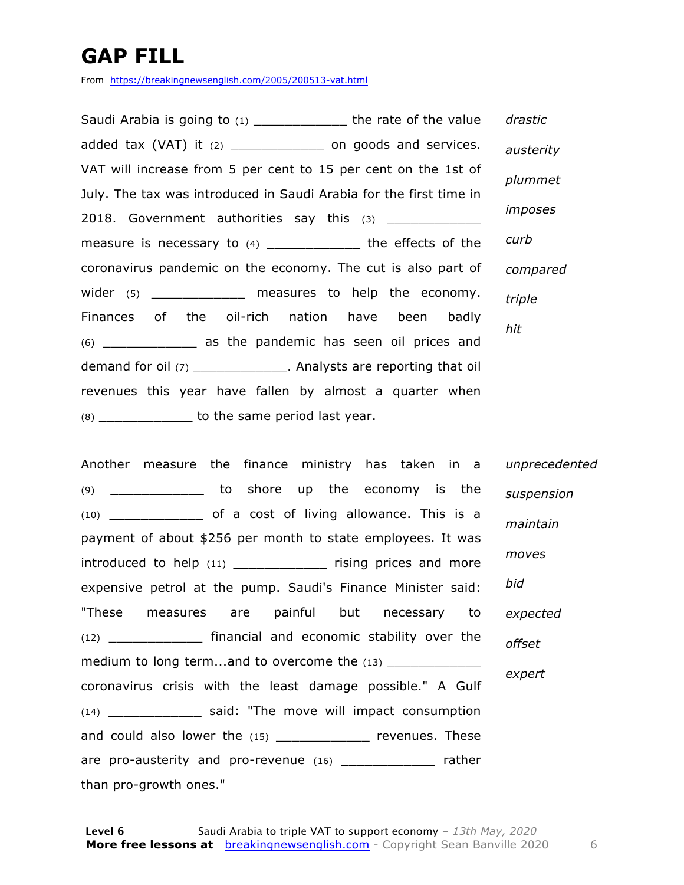### **GAP FILL**

From https://breakingnewsenglish.com/2005/200513-vat.html

Saudi Arabia is going to (1) \_\_\_\_\_\_\_\_\_\_\_ the rate of the value added tax (VAT) it  $(2)$  \_\_\_\_\_\_\_\_\_\_\_\_\_\_ on goods and services. VAT will increase from 5 per cent to 15 per cent on the 1st of July. The tax was introduced in Saudi Arabia for the first time in 2018. Government authorities say this (3) \_\_\_\_\_\_\_\_\_\_\_ measure is necessary to (4) \_\_\_\_\_\_\_\_\_\_ the effects of the coronavirus pandemic on the economy. The cut is also part of wider (5) \_\_\_\_\_\_\_\_\_\_\_\_ measures to help the economy. Finances of the oil-rich nation have been badly (6) \_\_\_\_\_\_\_\_\_\_\_\_ as the pandemic has seen oil prices and demand for oil (7) \_\_\_\_\_\_\_\_\_\_\_\_\_\_\_. Analysts are reporting that oil revenues this year have fallen by almost a quarter when  $(8)$  \_\_\_\_\_\_\_\_\_\_\_\_\_\_\_\_\_ to the same period last year. *drastic austerity plummet imposes curb compared triple hit*

Another measure the finance ministry has taken in a  $(9)$  \_\_\_\_\_\_\_\_\_\_\_\_\_\_ to shore up the economy is the (10) \_\_\_\_\_\_\_\_\_\_\_\_ of a cost of living allowance. This is a payment of about \$256 per month to state employees. It was  $introduced to help (11)$   $relting prices and more$ expensive petrol at the pump. Saudi's Finance Minister said: "These measures are painful but necessary to (12) \_\_\_\_\_\_\_\_\_\_\_\_ financial and economic stability over the medium to long term...and to overcome the (13) \_\_\_\_\_\_\_\_\_\_\_\_ coronavirus crisis with the least damage possible." A Gulf (14) \_\_\_\_\_\_\_\_\_\_\_\_ said: "The move will impact consumption and could also lower the (15) \_\_\_\_\_\_\_\_\_\_\_\_ revenues. These are pro-austerity and pro-revenue (16) \_\_\_\_\_\_\_\_\_\_\_\_\_ rather than pro-growth ones." *unprecedented suspension maintain moves bid expected offset expert*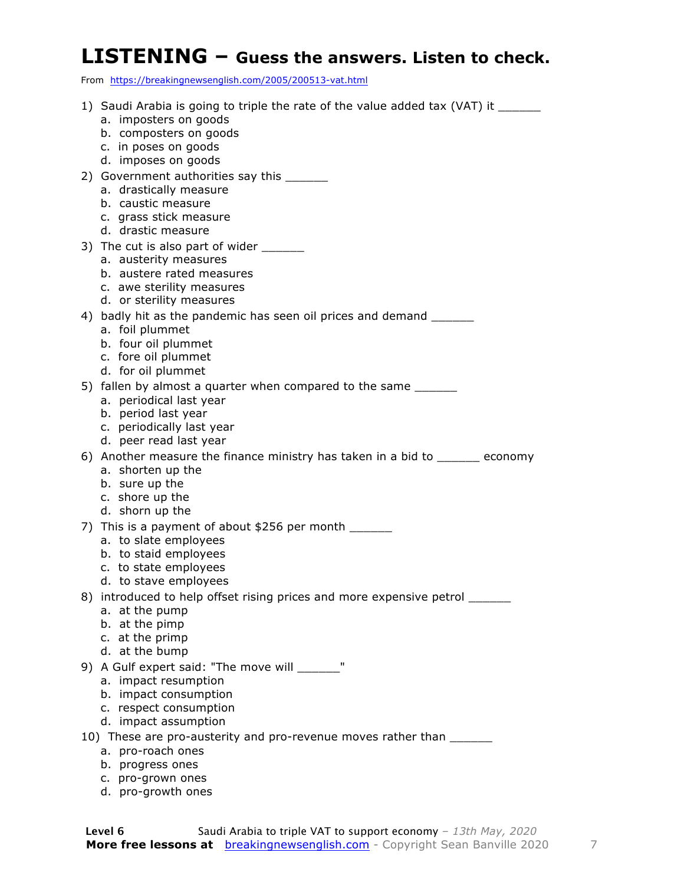#### **LISTENING – Guess the answers. Listen to check.**

From https://breakingnewsenglish.com/2005/200513-vat.html

| 1) Saudi Arabia is going to triple the rate of the value added tax (VAT) it ______                  |
|-----------------------------------------------------------------------------------------------------|
| a. imposters on goods                                                                               |
| b. composters on goods<br>c. in poses on goods                                                      |
| d. imposes on goods                                                                                 |
| 2) Government authorities say this                                                                  |
| a. drastically measure                                                                              |
| b. caustic measure<br>c. grass stick measure                                                        |
| d. drastic measure                                                                                  |
| 3) The cut is also part of wider _______                                                            |
| a. austerity measures<br>b. austere rated measures                                                  |
| c. awe sterility measures                                                                           |
| d. or sterility measures                                                                            |
| 4) badly hit as the pandemic has seen oil prices and demand ________                                |
| a. foil plummet<br>b. four oil plummet                                                              |
| c. fore oil plummet                                                                                 |
| d. for oil plummet                                                                                  |
| 5) fallen by almost a quarter when compared to the same _______                                     |
| a. periodical last year<br>b. period last year                                                      |
| c. periodically last year                                                                           |
| d. peer read last year                                                                              |
| 6) Another measure the finance ministry has taken in a bid to _______ economy<br>a. shorten up the  |
| b. sure up the                                                                                      |
| c. shore up the                                                                                     |
| d. shorn up the                                                                                     |
| 7) This is a payment of about \$256 per month ______<br>a. to slate employees                       |
| b. to staid employees                                                                               |
| c. to state employees                                                                               |
| d. to stave employees<br>8) introduced to help offset rising prices and more expensive petrol _____ |
| a. at the pump                                                                                      |
| b. at the pimp                                                                                      |
| c. at the primp<br>d. at the bump                                                                   |
| 9) A Gulf expert said: "The move will ______"                                                       |
| a. impact resumption                                                                                |
| b. impact consumption                                                                               |
| c. respect consumption<br>d. impact assumption                                                      |
| 10) These are pro-austerity and pro-revenue moves rather than _______                               |
| a. pro-roach ones                                                                                   |
| b. progress ones<br>c. pro-grown ones                                                               |
| d. pro-growth ones                                                                                  |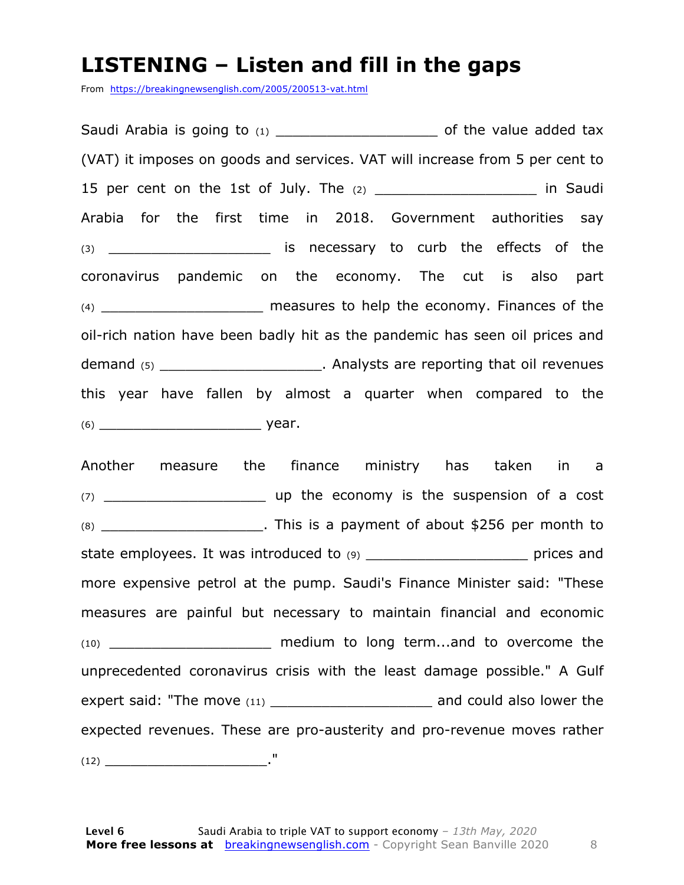#### **LISTENING – Listen and fill in the gaps**

From https://breakingnewsenglish.com/2005/200513-vat.html

Saudi Arabia is going to (1) \_\_\_\_\_\_\_\_\_\_\_\_\_\_\_\_\_\_\_ of the value added tax (VAT) it imposes on goods and services. VAT will increase from 5 per cent to 15 per cent on the 1st of July. The  $(2)$  \_\_\_\_\_\_\_\_\_\_\_\_\_\_\_\_\_\_\_\_\_\_\_ in Saudi Arabia for the first time in 2018. Government authorities say (3) \_\_\_\_\_\_\_\_\_\_\_\_\_\_\_\_\_\_\_ is necessary to curb the effects of the coronavirus pandemic on the economy. The cut is also part (4) \_\_\_\_\_\_\_\_\_\_\_\_\_\_\_\_\_\_\_ measures to help the economy. Finances of the oil-rich nation have been badly hit as the pandemic has seen oil prices and demand (5) \_\_\_\_\_\_\_\_\_\_\_\_\_\_\_\_\_\_\_\_\_\_\_\_. Analysts are reporting that oil revenues this year have fallen by almost a quarter when compared to the (6) \_\_\_\_\_\_\_\_\_\_\_\_\_\_\_\_\_\_\_ year.

Another measure the finance ministry has taken in a (7) \_\_\_\_\_\_\_\_\_\_\_\_\_\_\_\_\_\_\_ up the economy is the suspension of a cost (8) \_\_\_\_\_\_\_\_\_\_\_\_\_\_\_\_\_\_\_. This is a payment of about \$256 per month to state employees. It was introduced to (9) \_\_\_\_\_\_\_\_\_\_\_\_\_\_\_\_\_\_\_\_\_\_\_\_ prices and more expensive petrol at the pump. Saudi's Finance Minister said: "These measures are painful but necessary to maintain financial and economic (10) \_\_\_\_\_\_\_\_\_\_\_\_\_\_\_\_\_\_\_ medium to long term...and to overcome the unprecedented coronavirus crisis with the least damage possible." A Gulf expert said: "The move (11) \_\_\_\_\_\_\_\_\_\_\_\_\_\_\_\_\_\_\_\_\_\_\_\_\_ and could also lower the expected revenues. These are pro-austerity and pro-revenue moves rather (12) \_\_\_\_\_\_\_\_\_\_\_\_\_\_\_\_\_\_\_."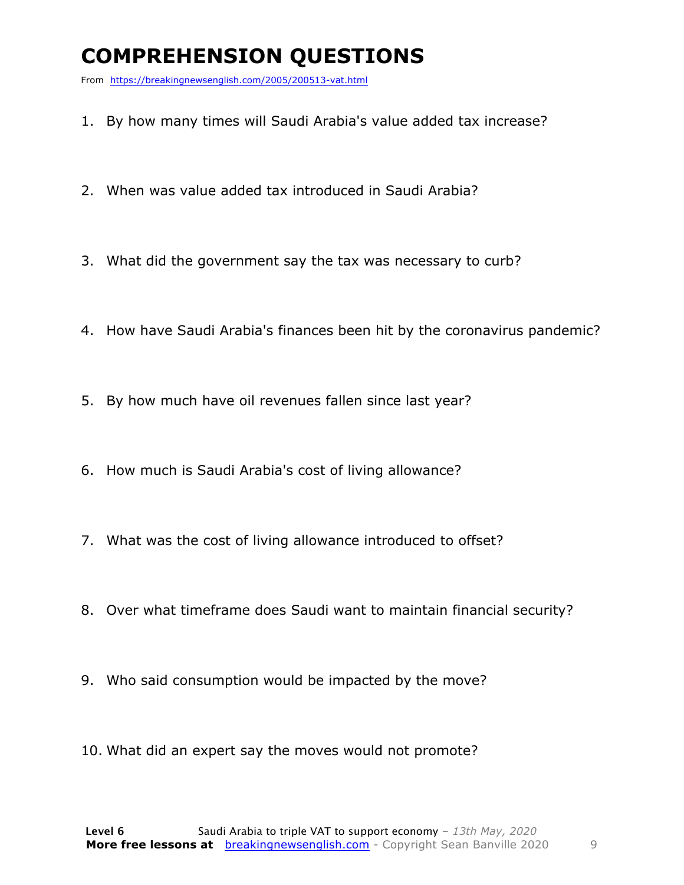### **COMPREHENSION QUESTIONS**

From https://breakingnewsenglish.com/2005/200513-vat.html

- 1. By how many times will Saudi Arabia's value added tax increase?
- 2. When was value added tax introduced in Saudi Arabia?
- 3. What did the government say the tax was necessary to curb?
- 4. How have Saudi Arabia's finances been hit by the coronavirus pandemic?
- 5. By how much have oil revenues fallen since last year?
- 6. How much is Saudi Arabia's cost of living allowance?
- 7. What was the cost of living allowance introduced to offset?
- 8. Over what timeframe does Saudi want to maintain financial security?
- 9. Who said consumption would be impacted by the move?
- 10. What did an expert say the moves would not promote?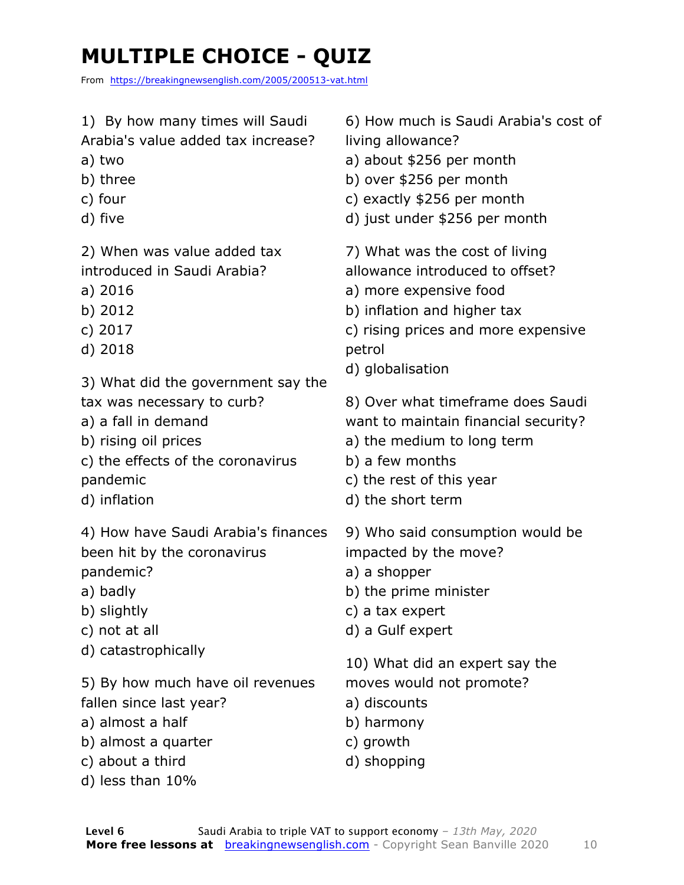## **MULTIPLE CHOICE - QUIZ**

From https://breakingnewsenglish.com/2005/200513-vat.html

#### 1) By how many times will Saudi

Arabia's value added tax increase?

- a) two
- b) three
- c) four
- d) five

2) When was value added tax introduced in Saudi Arabia?

- a) 2016
- b) 2012
- c) 2017
- d) 2018

3) What did the government say the tax was necessary to curb?

- a) a fall in demand
- b) rising oil prices
- c) the effects of the coronavirus pandemic
- d) inflation

4) How have Saudi Arabia's finances been hit by the coronavirus

- pandemic?
- a) badly
- b) slightly
- c) not at all
- d) catastrophically

5) By how much have oil revenues fallen since last year?

- a) almost a half
- b) almost a quarter
- c) about a third
- d) less than 10%

6) How much is Saudi Arabia's cost of living allowance?

- a) about \$256 per month
- b) over \$256 per month
- c) exactly \$256 per month
- d) just under \$256 per month

7) What was the cost of living allowance introduced to offset?

- a) more expensive food
- b) inflation and higher tax

c) rising prices and more expensive petrol

- d) globalisation
- 8) Over what timeframe does Saudi
- want to maintain financial security?
- a) the medium to long term
- b) a few months
- c) the rest of this year
- d) the short term

9) Who said consumption would be impacted by the move?

- a) a shopper
- b) the prime minister
- c) a tax expert
- d) a Gulf expert

10) What did an expert say the moves would not promote?

- a) discounts
- b) harmony
- c) growth
- d) shopping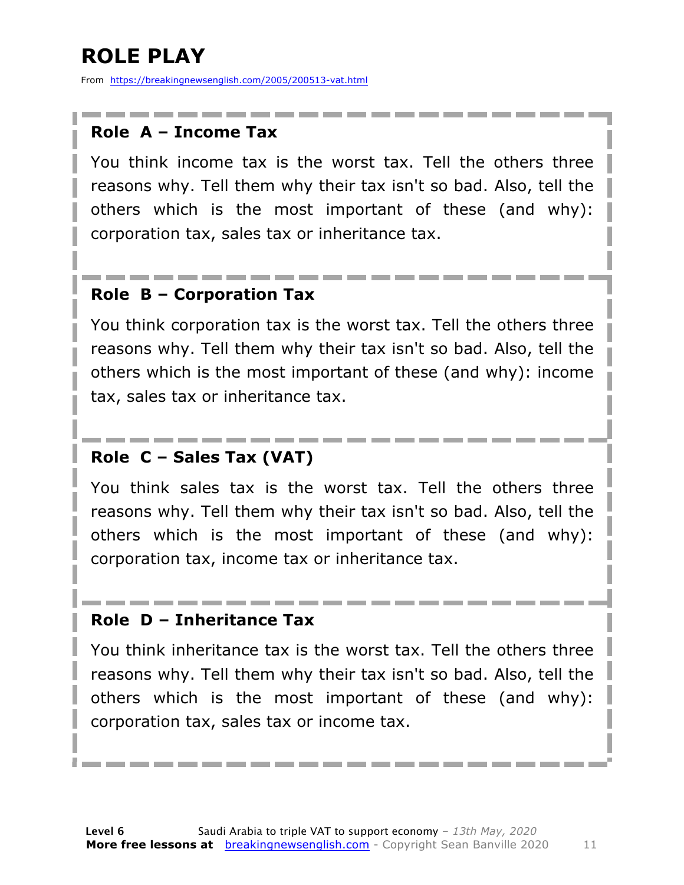### **ROLE PLAY**

From https://breakingnewsenglish.com/2005/200513-vat.html

#### **Role A – Income Tax**

You think income tax is the worst tax. Tell the others three reasons why. Tell them why their tax isn't so bad. Also, tell the others which is the most important of these (and why): corporation tax, sales tax or inheritance tax.

#### **Role B – Corporation Tax**

You think corporation tax is the worst tax. Tell the others three reasons why. Tell them why their tax isn't so bad. Also, tell the others which is the most important of these (and why): income tax, sales tax or inheritance tax.

#### **Role C – Sales Tax (VAT)**

You think sales tax is the worst tax. Tell the others three reasons why. Tell them why their tax isn't so bad. Also, tell the others which is the most important of these (and why): corporation tax, income tax or inheritance tax.

#### **Role D – Inheritance Tax**

You think inheritance tax is the worst tax. Tell the others three reasons why. Tell them why their tax isn't so bad. Also, tell the others which is the most important of these (and why): corporation tax, sales tax or income tax.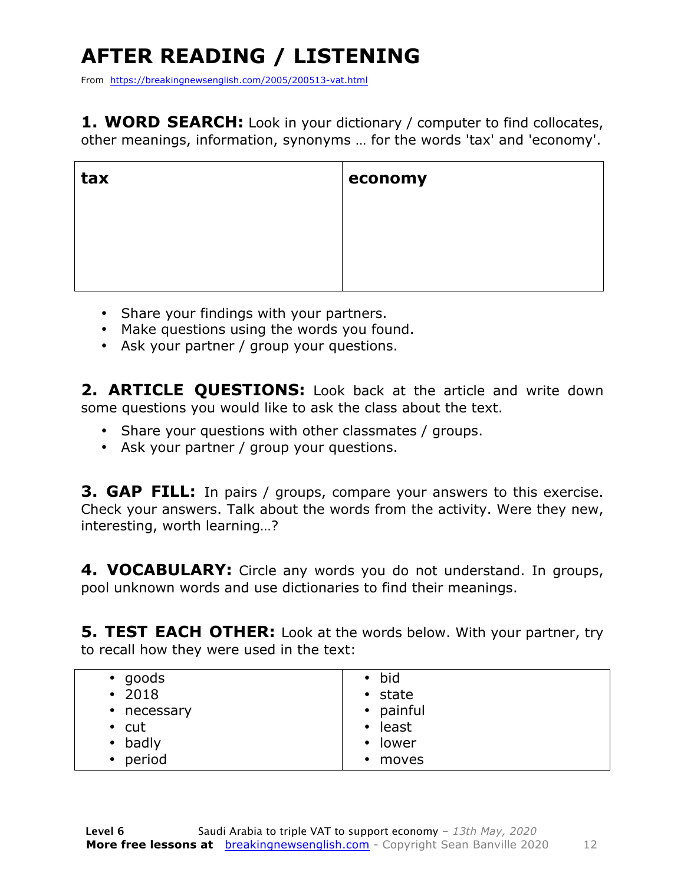## **AFTER READING / LISTENING**

From https://breakingnewsenglish.com/2005/200513-vat.html

**1. WORD SEARCH:** Look in your dictionary / computer to find collocates, other meanings, information, synonyms … for the words 'tax' and 'economy'.

| tax | economy |
|-----|---------|
|     |         |
|     |         |
|     |         |

- Share your findings with your partners.
- Make questions using the words you found.
- Ask your partner / group your questions.

2. **ARTICLE OUESTIONS:** Look back at the article and write down some questions you would like to ask the class about the text.

- Share your questions with other classmates / groups.
- Ask your partner / group your questions.

**3. GAP FILL:** In pairs / groups, compare your answers to this exercise. Check your answers. Talk about the words from the activity. Were they new, interesting, worth learning…?

**4. VOCABULARY:** Circle any words you do not understand. In groups, pool unknown words and use dictionaries to find their meanings.

**5. TEST EACH OTHER:** Look at the words below. With your partner, try to recall how they were used in the text:

| $\cdot$ goods<br>$\cdot$ 2018 | $\bullet$ bid<br>$\cdot$ state |
|-------------------------------|--------------------------------|
| • necessary                   | • painful                      |
| $\cdot$ cut                   | • least                        |
| • badly                       | • lower                        |
| • period                      | moves<br>$\bullet$             |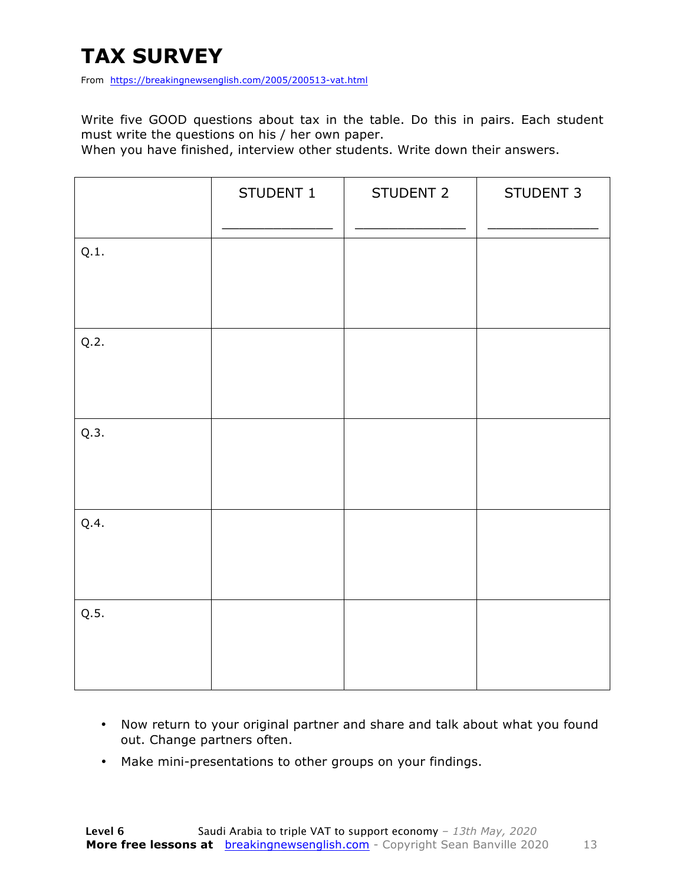### **TAX SURVEY**

From https://breakingnewsenglish.com/2005/200513-vat.html

Write five GOOD questions about tax in the table. Do this in pairs. Each student must write the questions on his / her own paper.

When you have finished, interview other students. Write down their answers.

|      | STUDENT 1 | STUDENT 2 | STUDENT 3 |
|------|-----------|-----------|-----------|
| Q.1. |           |           |           |
| Q.2. |           |           |           |
| Q.3. |           |           |           |
| Q.4. |           |           |           |
| Q.5. |           |           |           |

- Now return to your original partner and share and talk about what you found out. Change partners often.
- Make mini-presentations to other groups on your findings.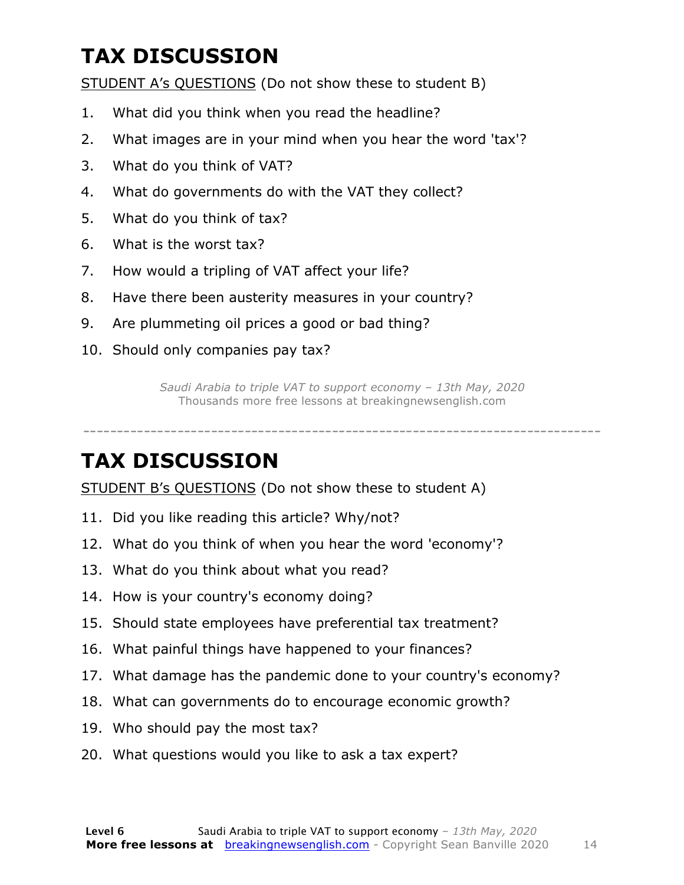### **TAX DISCUSSION**

STUDENT A's QUESTIONS (Do not show these to student B)

- 1. What did you think when you read the headline?
- 2. What images are in your mind when you hear the word 'tax'?
- 3. What do you think of VAT?
- 4. What do governments do with the VAT they collect?
- 5. What do you think of tax?
- 6. What is the worst tax?
- 7. How would a tripling of VAT affect your life?
- 8. Have there been austerity measures in your country?
- 9. Are plummeting oil prices a good or bad thing?
- 10. Should only companies pay tax?

*Saudi Arabia to triple VAT to support economy – 13th May, 2020* Thousands more free lessons at breakingnewsenglish.com

-----------------------------------------------------------------------------

#### **TAX DISCUSSION**

STUDENT B's QUESTIONS (Do not show these to student A)

- 11. Did you like reading this article? Why/not?
- 12. What do you think of when you hear the word 'economy'?
- 13. What do you think about what you read?
- 14. How is your country's economy doing?
- 15. Should state employees have preferential tax treatment?
- 16. What painful things have happened to your finances?
- 17. What damage has the pandemic done to your country's economy?
- 18. What can governments do to encourage economic growth?
- 19. Who should pay the most tax?
- 20. What questions would you like to ask a tax expert?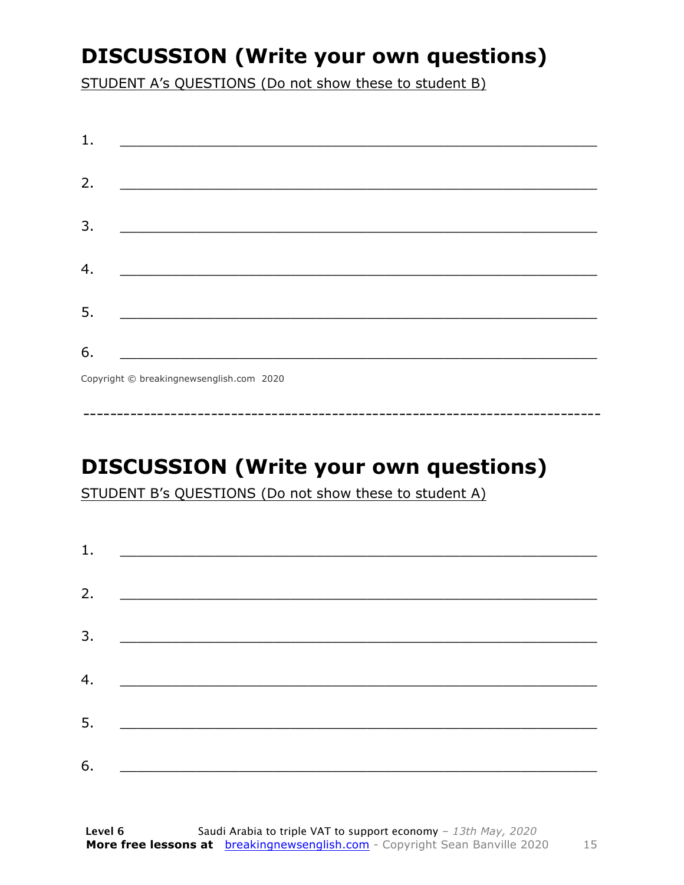### **DISCUSSION (Write your own questions)**

STUDENT A's QUESTIONS (Do not show these to student B)

| 1. |                                          |
|----|------------------------------------------|
|    |                                          |
| 2. |                                          |
|    |                                          |
| 3. |                                          |
|    |                                          |
| 4. |                                          |
|    |                                          |
| 5. |                                          |
|    |                                          |
| 6. |                                          |
|    | Copyright © breakingnewsenglish.com 2020 |

### **DISCUSSION (Write your own questions)**

STUDENT B's QUESTIONS (Do not show these to student A)

| 1. |                                                                                                                         |  |  |
|----|-------------------------------------------------------------------------------------------------------------------------|--|--|
|    |                                                                                                                         |  |  |
| 2. | <u> 1980 - Antonio Alemania, prima prestava postala de la provincia de la provincia de la provincia de la provincia</u> |  |  |
|    |                                                                                                                         |  |  |
| 3. | <u> 1980 - Andrea Andrew Maria (h. 1980).</u>                                                                           |  |  |
|    |                                                                                                                         |  |  |
| 4. | <u> 1980 - Andrea Brand, amerikansk politik (</u>                                                                       |  |  |
|    |                                                                                                                         |  |  |
| 5. |                                                                                                                         |  |  |
|    |                                                                                                                         |  |  |
| 6. |                                                                                                                         |  |  |

15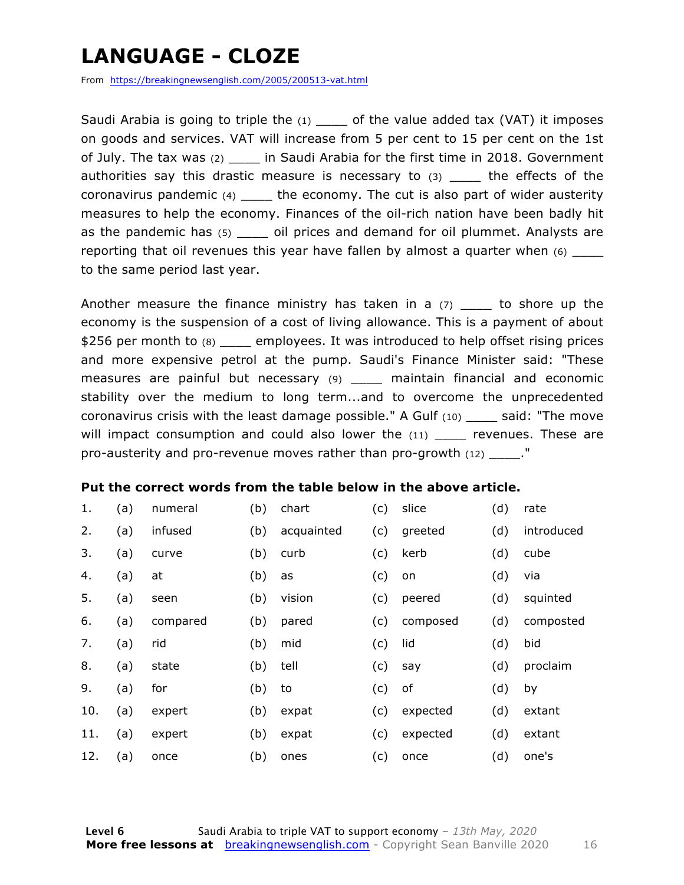### **LANGUAGE - CLOZE**

From https://breakingnewsenglish.com/2005/200513-vat.html

Saudi Arabia is going to triple the  $(1)$  of the value added tax (VAT) it imposes on goods and services. VAT will increase from 5 per cent to 15 per cent on the 1st of July. The tax was (2) \_\_\_\_ in Saudi Arabia for the first time in 2018. Government authorities say this drastic measure is necessary to (3) The effects of the coronavirus pandemic  $(4)$  \_\_\_\_\_ the economy. The cut is also part of wider austerity measures to help the economy. Finances of the oil-rich nation have been badly hit as the pandemic has (5) and prices and demand for oil plummet. Analysts are reporting that oil revenues this year have fallen by almost a quarter when (6) to the same period last year.

Another measure the finance ministry has taken in a  $(7)$  \_\_\_\_ to shore up the economy is the suspension of a cost of living allowance. This is a payment of about \$256 per month to (8) employees. It was introduced to help offset rising prices and more expensive petrol at the pump. Saudi's Finance Minister said: "These measures are painful but necessary (9) \_\_\_\_ maintain financial and economic stability over the medium to long term...and to overcome the unprecedented coronavirus crisis with the least damage possible." A Gulf (10) \_\_\_\_ said: "The move will impact consumption and could also lower the (11) \_\_\_\_ revenues. These are pro-austerity and pro-revenue moves rather than pro-growth (12)  $\blacksquare$ 

#### **Put the correct words from the table below in the above article.**

| 1.  | (a) | numeral  | (b) | chart      | (c) | slice    | (d) | rate       |
|-----|-----|----------|-----|------------|-----|----------|-----|------------|
| 2.  | (a) | infused  | (b) | acquainted | (c) | greeted  | (d) | introduced |
| 3.  | (a) | curve    | (b) | curb       | (c) | kerb     | (d) | cube       |
| 4.  | (a) | at       | (b) | as         | (c) | on       | (d) | via        |
| 5.  | (a) | seen     | (b) | vision     | (c) | peered   | (d) | squinted   |
| 6.  | (a) | compared | (b) | pared      | (c) | composed | (d) | composted  |
| 7.  | (a) | rid      | (b) | mid        | (c) | lid      | (d) | bid        |
| 8.  | (a) | state    | (b) | tell       | (c) | say      | (d) | proclaim   |
| 9.  | (a) | for      | (b) | to         | (c) | of       | (d) | by         |
| 10. | (a) | expert   | (b) | expat      | (c) | expected | (d) | extant     |
| 11. | (a) | expert   | (b) | expat      | (c) | expected | (d) | extant     |
| 12. | (a) | once     | (b) | ones       | (c) | once     | (d) | one's      |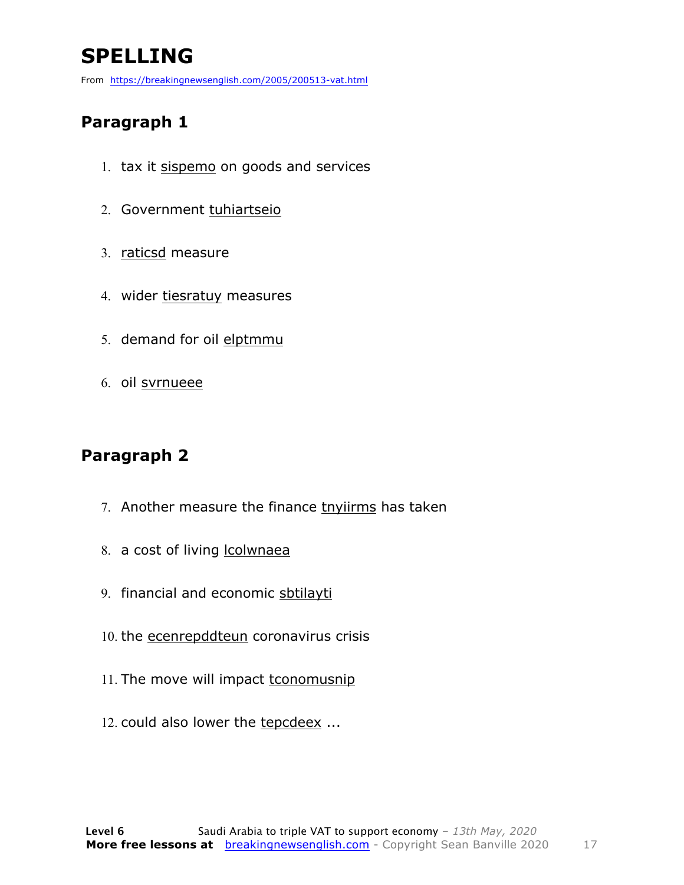### **SPELLING**

From https://breakingnewsenglish.com/2005/200513-vat.html

#### **Paragraph 1**

- 1. tax it sispemo on goods and services
- 2. Government tuhiartseio
- 3. raticsd measure
- 4. wider tiesratuy measures
- 5. demand for oil elptmmu
- 6. oil svrnueee

#### **Paragraph 2**

- 7. Another measure the finance tnyiirms has taken
- 8. a cost of living **lcolwnaea**
- 9. financial and economic sbtilayti
- 10. the ecenrepddteun coronavirus crisis
- 11. The move will impact tconomusnip
- 12. could also lower the tepcdeex ...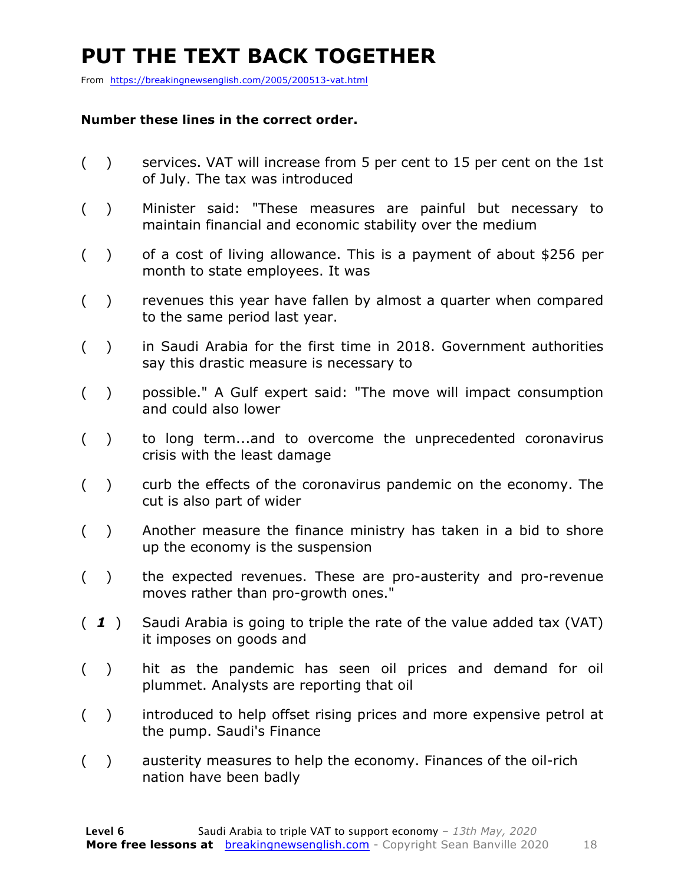### **PUT THE TEXT BACK TOGETHER**

From https://breakingnewsenglish.com/2005/200513-vat.html

#### **Number these lines in the correct order.**

- ( ) services. VAT will increase from 5 per cent to 15 per cent on the 1st of July. The tax was introduced
- ( ) Minister said: "These measures are painful but necessary to maintain financial and economic stability over the medium
- ( ) of a cost of living allowance. This is a payment of about \$256 per month to state employees. It was
- ( ) revenues this year have fallen by almost a quarter when compared to the same period last year.
- ( ) in Saudi Arabia for the first time in 2018. Government authorities say this drastic measure is necessary to
- ( ) possible." A Gulf expert said: "The move will impact consumption and could also lower
- ( ) to long term...and to overcome the unprecedented coronavirus crisis with the least damage
- ( ) curb the effects of the coronavirus pandemic on the economy. The cut is also part of wider
- ( ) Another measure the finance ministry has taken in a bid to shore up the economy is the suspension
- ( ) the expected revenues. These are pro-austerity and pro-revenue moves rather than pro-growth ones."
- ( *1* ) Saudi Arabia is going to triple the rate of the value added tax (VAT) it imposes on goods and
- ( ) hit as the pandemic has seen oil prices and demand for oil plummet. Analysts are reporting that oil
- ( ) introduced to help offset rising prices and more expensive petrol at the pump. Saudi's Finance
- ( ) austerity measures to help the economy. Finances of the oil-rich nation have been badly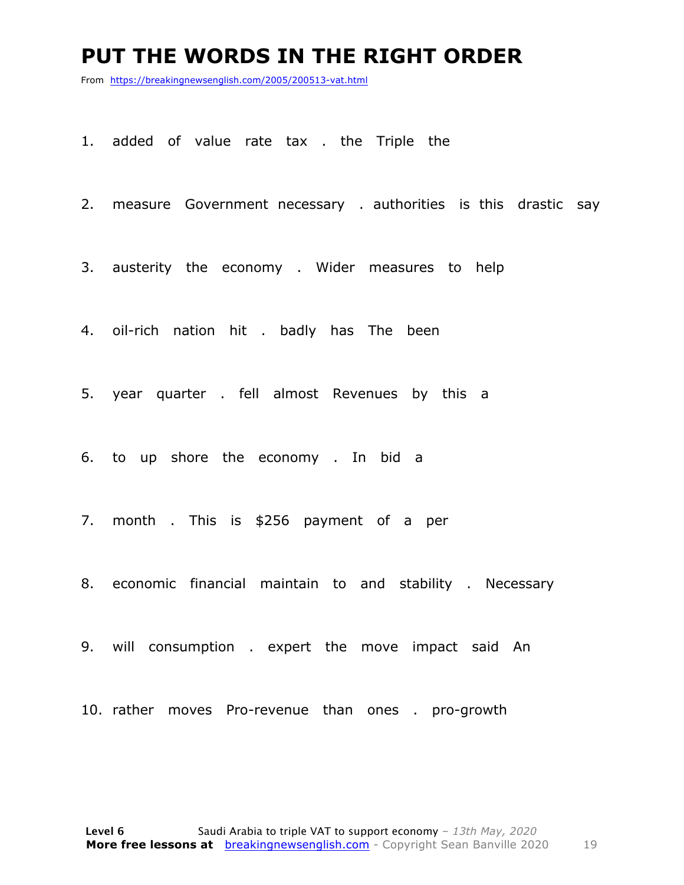#### **PUT THE WORDS IN THE RIGHT ORDER**

From https://breakingnewsenglish.com/2005/200513-vat.html

1. added of value rate tax . the Triple the

2. measure Government necessary . authorities is this drastic say

3. austerity the economy . Wider measures to help

4. oil-rich nation hit . badly has The been

5. year quarter . fell almost Revenues by this a

6. to up shore the economy . In bid a

7. month . This is \$256 payment of a per

8. economic financial maintain to and stability . Necessary

9. will consumption . expert the move impact said An

10. rather moves Pro-revenue than ones . pro-growth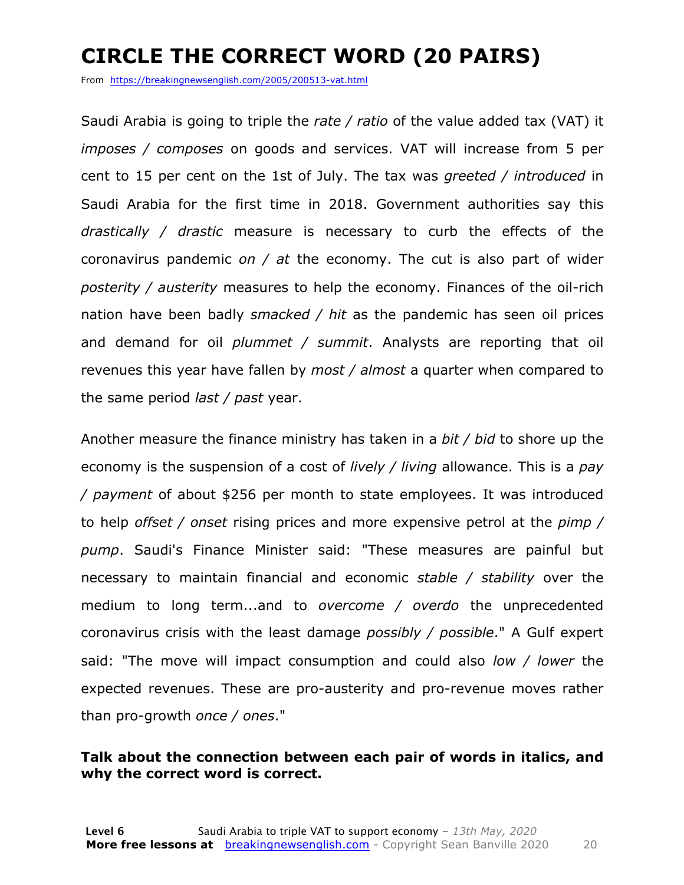### **CIRCLE THE CORRECT WORD (20 PAIRS)**

From https://breakingnewsenglish.com/2005/200513-vat.html

Saudi Arabia is going to triple the *rate / ratio* of the value added tax (VAT) it *imposes / composes* on goods and services. VAT will increase from 5 per cent to 15 per cent on the 1st of July. The tax was *greeted / introduced* in Saudi Arabia for the first time in 2018. Government authorities say this *drastically / drastic* measure is necessary to curb the effects of the coronavirus pandemic *on / at* the economy. The cut is also part of wider *posterity / austerity* measures to help the economy. Finances of the oil-rich nation have been badly *smacked / hit* as the pandemic has seen oil prices and demand for oil *plummet / summit*. Analysts are reporting that oil revenues this year have fallen by *most / almost* a quarter when compared to the same period *last / past* year.

Another measure the finance ministry has taken in a *bit / bid* to shore up the economy is the suspension of a cost of *lively / living* allowance. This is a *pay / payment* of about \$256 per month to state employees. It was introduced to help *offset / onset* rising prices and more expensive petrol at the *pimp / pump*. Saudi's Finance Minister said: "These measures are painful but necessary to maintain financial and economic *stable / stability* over the medium to long term...and to *overcome / overdo* the unprecedented coronavirus crisis with the least damage *possibly / possible*." A Gulf expert said: "The move will impact consumption and could also *low / lower* the expected revenues. These are pro-austerity and pro-revenue moves rather than pro-growth *once / ones*."

#### **Talk about the connection between each pair of words in italics, and why the correct word is correct.**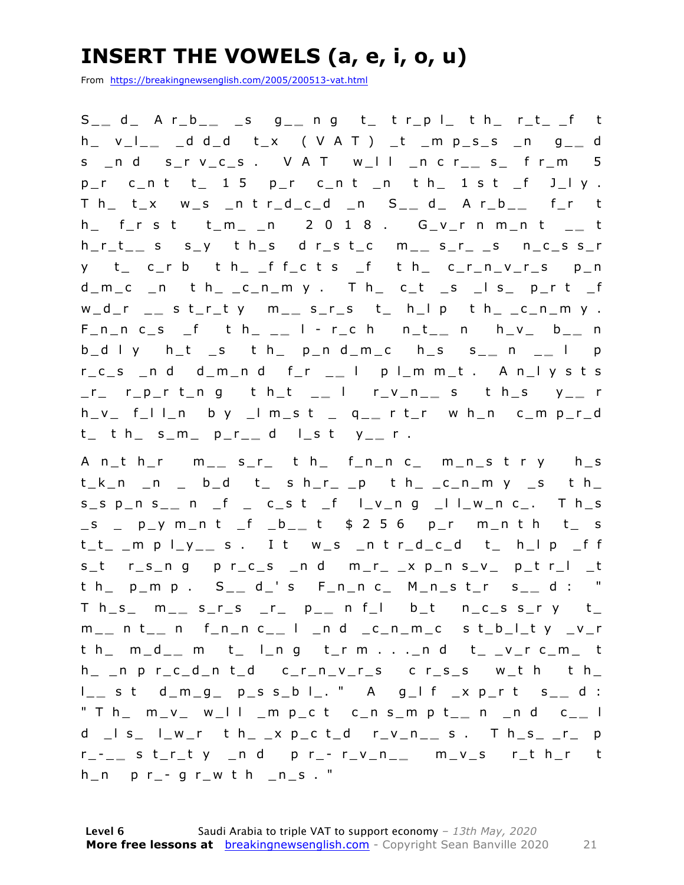### **INSERT THE VOWELS (a, e, i, o, u)**

From https://breakingnewsenglish.com/2005/200513-vat.html

S \_ **\_** d\_ A r\_b\_ **\_** \_s g\_ **\_** n g t\_ t r\_p l\_ t h\_ r\_t\_ \_f t  $h$  v\_l \_ d d d t \_x ( V A T ) \_t \_m p\_s\_s \_n q\_\_ d s \_n d s\_r v\_c\_s . V A T w\_l l \_n c r\_ **\_** s\_ f r\_m 5  $p_r$  c\_n t t\_ 15  $p_r$  c\_n t \_n t h\_ 1 s t \_f J\_l y. T h\_ t\_x w\_s \_n t r\_d\_c\_d \_n S\_ **\_** d\_ A r\_b\_ **\_** f\_r t h\_ f \_r s t t\_m\_ \_n 2 0 1 8 . G\_v\_r n m\_n t \_ **\_** t h\_r\_t\_ **\_** s s\_y t h\_s d r\_s t\_c m\_ **\_** s\_r\_ \_s n\_c\_s s\_r y t\_ c\_r b t h\_ \_f f\_c t s \_f t h\_ c\_r\_n\_v\_r\_s p\_n  $d_m_c$  n th\_\_c\_n\_m y . Th\_ c\_t \_s \_l s\_ p\_r t \_f w\_d\_r \_ **\_** s t\_r\_t y m\_ **\_** s\_r\_s t\_ h\_l p t h\_ \_c\_n\_m y . F\_n\_n c\_s \_f t h\_ \_ **\_** l - r\_c h n\_t\_ **\_** n h\_v\_ b\_ **\_** n b\_d l y h\_t \_s t h\_ p\_n d\_m\_c h\_s s\_ **\_** n \_ **\_** l p r\_c\_s \_n d d\_m\_n d f\_r \_ **\_** l p l\_m m\_t . A n\_l y s t s \_r\_ r\_p\_r t\_n g t h\_t \_ **\_** l r\_v\_n\_ **\_** s t h\_s y\_ **\_** r h\_v\_ f\_l l\_n b y \_l m\_s t \_ q\_ **\_** r t\_r w h\_n c\_m p\_r\_d t\_ t h\_ s\_m\_ p\_r\_ **\_** d l\_s t y\_ **\_** r .

A n\_t h\_r m\_ **\_** s\_r\_ t h\_ f\_n\_n c\_ m\_n\_s t r y h\_s  $t_k$ <sub>n</sub> \_ n \_ b\_d t\_ s h\_r\_ \_p t h\_ \_c\_n\_m y \_s t h\_ s\_s p\_n s\_ **\_** n \_f \_ c\_s t \_f l\_v\_n g \_l l\_w\_n c\_. T h\_s \_s \_ p\_y m\_n t \_f \_b\_ **\_** t \$ 2 5 6 p\_r m\_n t h t\_ s t\_t\_ \_m p l\_y\_ **\_** s . I t w\_s \_n t r\_d\_c\_d t\_ h\_l p \_f f s\_t r\_s\_n g p r\_c\_s \_n d m\_r\_ \_x p\_n s\_v\_ p\_t r\_l \_t t h\_ p\_m p . S\_ **\_** d\_' s F\_n\_n c\_ M\_n\_s t\_r s\_ **\_** d : " T h\_s\_ m\_ **\_** s\_r\_s \_r\_ p\_ **\_** n f\_l b\_t n\_c\_s s\_r y t\_ m \_ **\_** n t\_ **\_** n f\_n\_n c\_ **\_** l \_n d \_c\_n\_m\_c s t\_b\_l\_t y \_v\_r t h\_ m\_d\_ **\_** m t\_ l\_n g t\_r m . . .\_n d t\_ \_v\_r c\_ m\_ t  $h_$  n p r c d n t d c r n v r s c r s s w t h t h l \_ **\_** s t d\_m\_g\_ p\_s s\_b l\_. " A g\_l f \_x p\_r t s\_ **\_** d : " T h\_ m\_v\_ w\_l l \_m p\_c t c\_n s\_m p t\_ **\_** n \_n d c\_ **\_** l d \_l s\_ l\_w\_r t h\_ \_x p\_c t\_d r\_v\_n\_ **\_** s . T h\_s\_ \_r\_ p r \_ - \_ **\_** s t\_r\_t y \_n d p r\_ - r\_v\_n\_ **\_** m\_v\_s r\_t h\_r t h n  $pr - q r$  w th ns."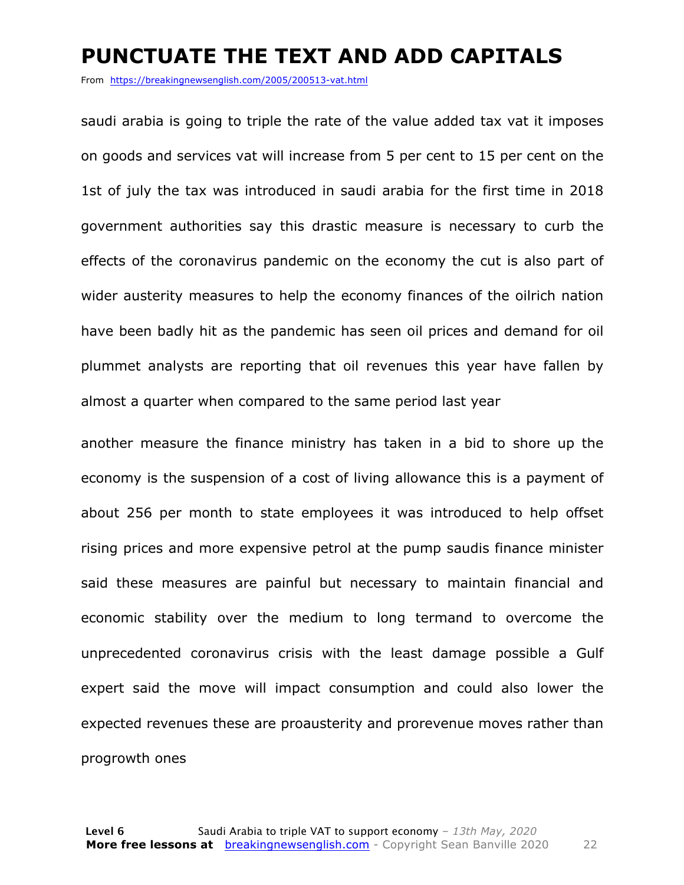#### **PUNCTUATE THE TEXT AND ADD CAPITALS**

From https://breakingnewsenglish.com/2005/200513-vat.html

saudi arabia is going to triple the rate of the value added tax vat it imposes on goods and services vat will increase from 5 per cent to 15 per cent on the 1st of july the tax was introduced in saudi arabia for the first time in 2018 government authorities say this drastic measure is necessary to curb the effects of the coronavirus pandemic on the economy the cut is also part of wider austerity measures to help the economy finances of the oilrich nation have been badly hit as the pandemic has seen oil prices and demand for oil plummet analysts are reporting that oil revenues this year have fallen by almost a quarter when compared to the same period last year

another measure the finance ministry has taken in a bid to shore up the economy is the suspension of a cost of living allowance this is a payment of about 256 per month to state employees it was introduced to help offset rising prices and more expensive petrol at the pump saudis finance minister said these measures are painful but necessary to maintain financial and economic stability over the medium to long termand to overcome the unprecedented coronavirus crisis with the least damage possible a Gulf expert said the move will impact consumption and could also lower the expected revenues these are proausterity and prorevenue moves rather than progrowth ones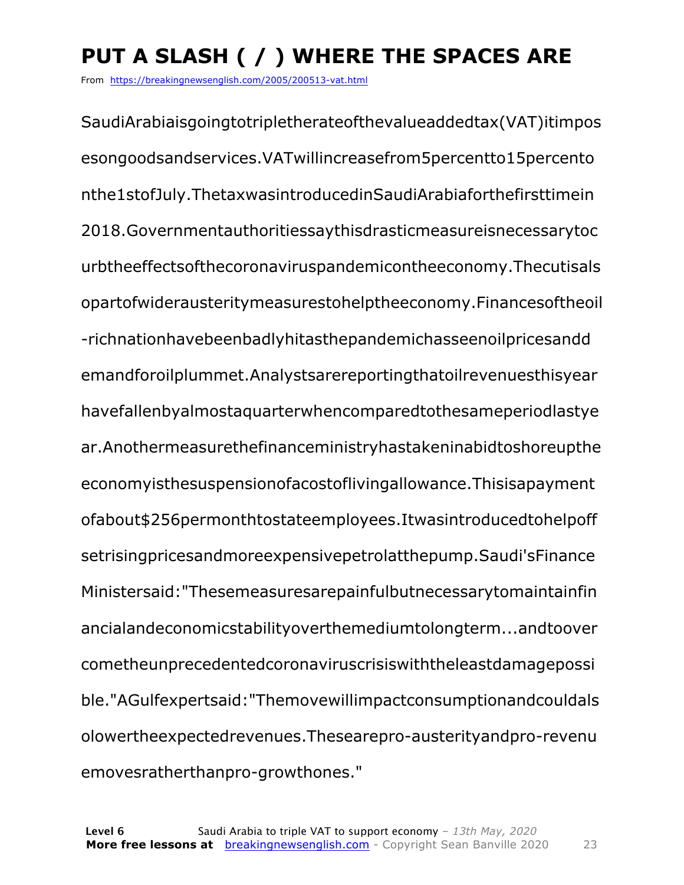### **PUT A SLASH ( / ) WHERE THE SPACES ARE**

From https://breakingnewsenglish.com/2005/200513-vat.html

SaudiArabiaisgoingtotripletherateofthevalueaddedtax(VAT)itimpos esongoodsandservices.VATwillincreasefrom5percentto15percento nthe1stofJuly.ThetaxwasintroducedinSaudiArabiaforthefirsttimein 2018.Governmentauthoritiessaythisdrasticmeasureisnecessarytoc urbtheeffectsofthecoronaviruspandemicontheeconomy.Thecutisals opartofwiderausteritymeasurestohelptheeconomy.Financesoftheoil -richnationhavebeenbadlyhitasthepandemichasseenoilpricesandd emandforoilplummet.Analystsarereportingthatoilrevenuesthisyear havefallenbyalmostaquarterwhencomparedtothesameperiodlastye ar.Anothermeasurethefinanceministryhastakeninabidtoshoreupthe economyisthesuspensionofacostoflivingallowance.Thisisapayment ofabout\$256permonthtostateemployees.Itwasintroducedtohelpoff setrisingpricesandmoreexpensivepetrolatthepump.Saudi'sFinance Ministersaid:"Thesemeasuresarepainfulbutnecessarytomaintainfin ancialandeconomicstabilityoverthemediumtolongterm...andtoover cometheunprecedentedcoronaviruscrisiswiththeleastdamagepossi ble."AGulfexpertsaid:"Themovewillimpactconsumptionandcouldals olowertheexpectedrevenues.Thesearepro-austerityandpro-revenu emovesratherthanpro-growthones."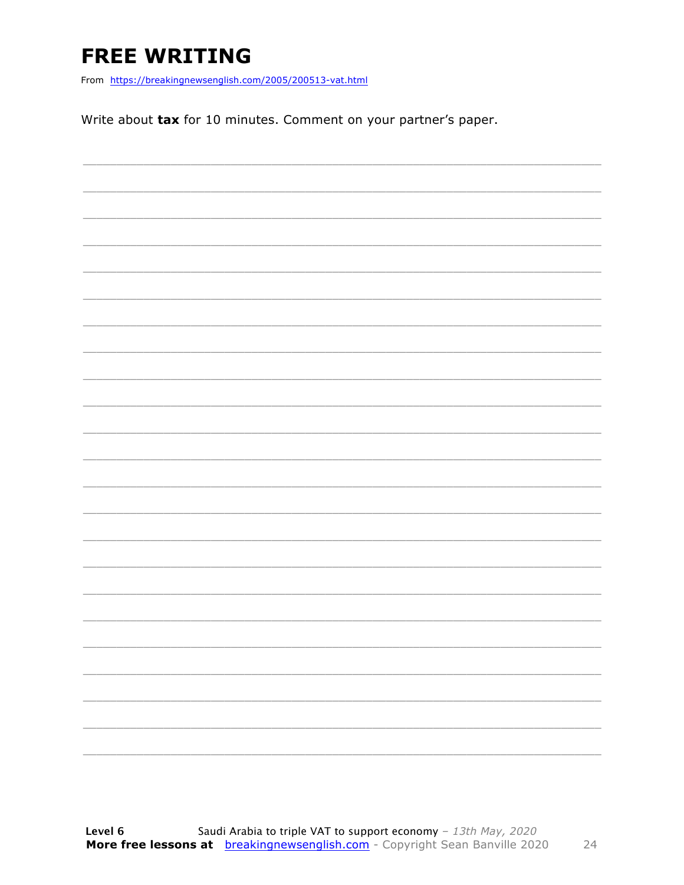### **FREE WRITING**

From https://breakingnewsenglish.com/2005/200513-vat.html

Write about tax for 10 minutes. Comment on your partner's paper.



24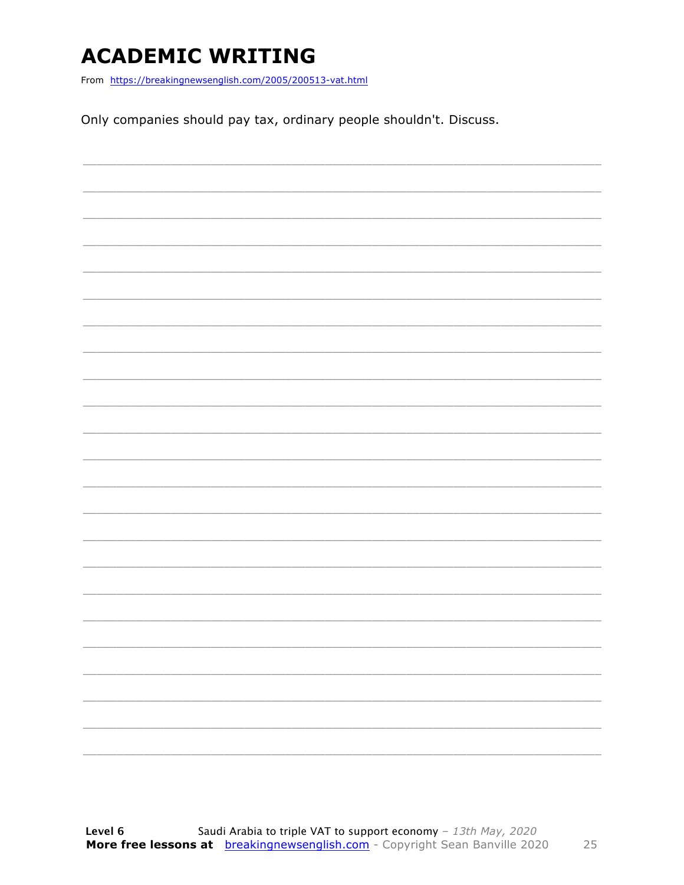### **ACADEMIC WRITING**

From https://breakingnewsenglish.com/2005/200513-vat.html

Only companies should pay tax, ordinary people shouldn't. Discuss.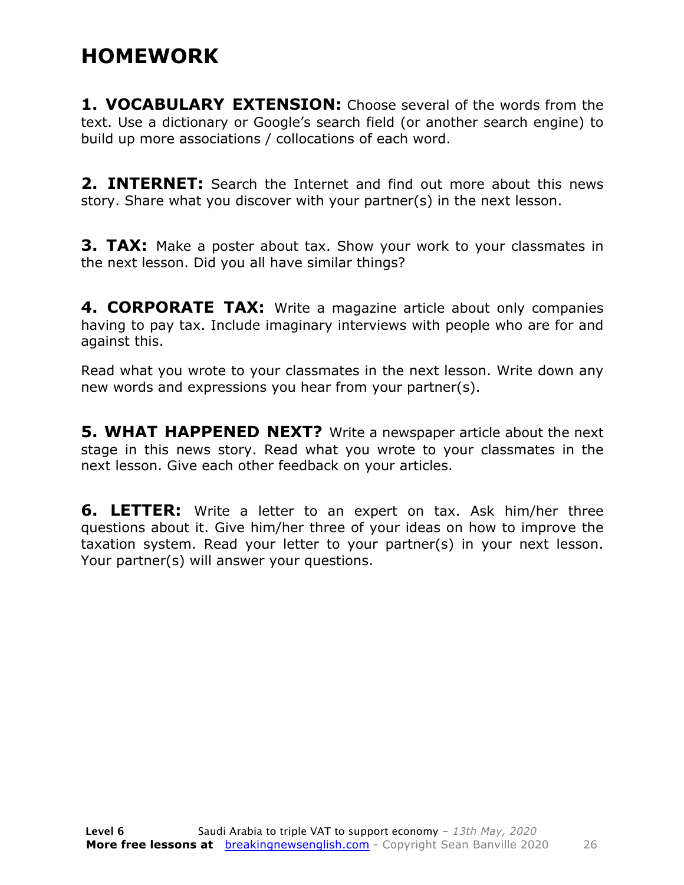### **HOMEWORK**

**1. VOCABULARY EXTENSION:** Choose several of the words from the text. Use a dictionary or Google's search field (or another search engine) to build up more associations / collocations of each word.

**2. INTERNET:** Search the Internet and find out more about this news story. Share what you discover with your partner(s) in the next lesson.

**3. TAX:** Make a poster about tax. Show your work to your classmates in the next lesson. Did you all have similar things?

**4. CORPORATE TAX:** Write a magazine article about only companies having to pay tax. Include imaginary interviews with people who are for and against this.

Read what you wrote to your classmates in the next lesson. Write down any new words and expressions you hear from your partner(s).

**5. WHAT HAPPENED NEXT?** Write a newspaper article about the next stage in this news story. Read what you wrote to your classmates in the next lesson. Give each other feedback on your articles.

**6. LETTER:** Write a letter to an expert on tax. Ask him/her three questions about it. Give him/her three of your ideas on how to improve the taxation system. Read your letter to your partner(s) in your next lesson. Your partner(s) will answer your questions.